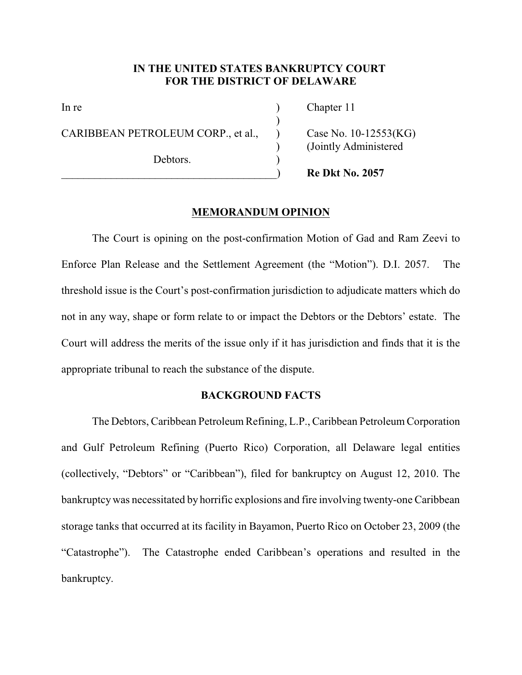# **IN THE UNITED STATES BANKRUPTCY COURT FOR THE DISTRICT OF DELAWARE**

)

CARIBBEAN PETROLEUM CORP., et al., ) Case No. 10-12553(KG)

Debtors.

In re (a) Chapter 11

) (Jointly Administered

\_\_\_\_\_\_\_\_\_\_\_\_\_\_\_\_\_\_\_\_\_\_\_\_\_\_\_\_\_\_\_\_\_\_\_\_\_\_\_) **Re Dkt No. 2057**

## **MEMORANDUM OPINION**

The Court is opining on the post-confirmation Motion of Gad and Ram Zeevi to Enforce Plan Release and the Settlement Agreement (the "Motion"). D.I. 2057. The threshold issue is the Court's post-confirmation jurisdiction to adjudicate matters which do not in any way, shape or form relate to or impact the Debtors or the Debtors' estate. The Court will address the merits of the issue only if it has jurisdiction and finds that it is the appropriate tribunal to reach the substance of the dispute.

## **BACKGROUND FACTS**

The Debtors, Caribbean Petroleum Refining, L.P., Caribbean Petroleum Corporation and Gulf Petroleum Refining (Puerto Rico) Corporation, all Delaware legal entities (collectively, "Debtors" or "Caribbean"), filed for bankruptcy on August 12, 2010. The bankruptcy was necessitated by horrific explosions and fire involving twenty-one Caribbean storage tanks that occurred at its facility in Bayamon, Puerto Rico on October 23, 2009 (the "Catastrophe"). The Catastrophe ended Caribbean's operations and resulted in the bankruptcy.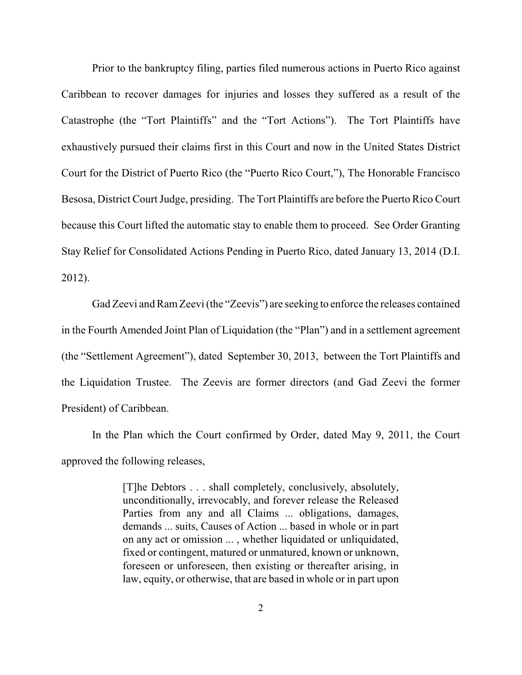Prior to the bankruptcy filing, parties filed numerous actions in Puerto Rico against Caribbean to recover damages for injuries and losses they suffered as a result of the Catastrophe (the "Tort Plaintiffs" and the "Tort Actions"). The Tort Plaintiffs have exhaustively pursued their claims first in this Court and now in the United States District Court for the District of Puerto Rico (the "Puerto Rico Court,"), The Honorable Francisco Besosa, District Court Judge, presiding. The Tort Plaintiffs are before the Puerto Rico Court because this Court lifted the automatic stay to enable them to proceed. See Order Granting Stay Relief for Consolidated Actions Pending in Puerto Rico, dated January 13, 2014 (D.I. 2012).

Gad Zeevi and RamZeevi (the "Zeevis") are seeking to enforce the releases contained in the Fourth Amended Joint Plan of Liquidation (the "Plan") and in a settlement agreement (the "Settlement Agreement"), dated September 30, 2013, between the Tort Plaintiffs and the Liquidation Trustee. The Zeevis are former directors (and Gad Zeevi the former President) of Caribbean.

In the Plan which the Court confirmed by Order, dated May 9, 2011, the Court approved the following releases,

> [T]he Debtors . . . shall completely, conclusively, absolutely, unconditionally, irrevocably, and forever release the Released Parties from any and all Claims ... obligations, damages, demands ... suits, Causes of Action ... based in whole or in part on any act or omission ... , whether liquidated or unliquidated, fixed or contingent, matured or unmatured, known or unknown, foreseen or unforeseen, then existing or thereafter arising, in law, equity, or otherwise, that are based in whole or in part upon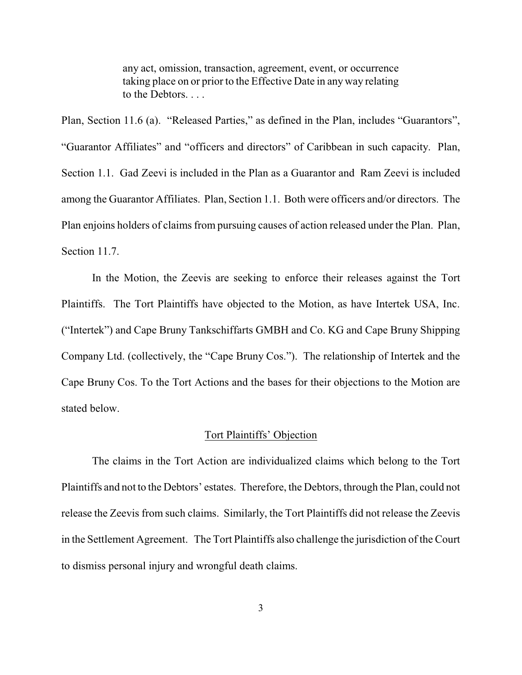any act, omission, transaction, agreement, event, or occurrence taking place on or prior to the Effective Date in any way relating to the Debtors. . . .

Plan, Section 11.6 (a). "Released Parties," as defined in the Plan, includes "Guarantors", "Guarantor Affiliates" and "officers and directors" of Caribbean in such capacity. Plan, Section 1.1. Gad Zeevi is included in the Plan as a Guarantor and Ram Zeevi is included among the Guarantor Affiliates. Plan, Section 1.1. Both were officers and/or directors. The Plan enjoins holders of claims from pursuing causes of action released under the Plan. Plan, Section 11.7.

In the Motion, the Zeevis are seeking to enforce their releases against the Tort Plaintiffs. The Tort Plaintiffs have objected to the Motion, as have Intertek USA, Inc. ("Intertek") and Cape Bruny Tankschiffarts GMBH and Co. KG and Cape Bruny Shipping Company Ltd. (collectively, the "Cape Bruny Cos."). The relationship of Intertek and the Cape Bruny Cos. To the Tort Actions and the bases for their objections to the Motion are stated below.

### Tort Plaintiffs' Objection

The claims in the Tort Action are individualized claims which belong to the Tort Plaintiffs and not to the Debtors' estates. Therefore, the Debtors, through the Plan, could not release the Zeevis from such claims. Similarly, the Tort Plaintiffs did not release the Zeevis in the Settlement Agreement. The Tort Plaintiffs also challenge the jurisdiction of the Court to dismiss personal injury and wrongful death claims.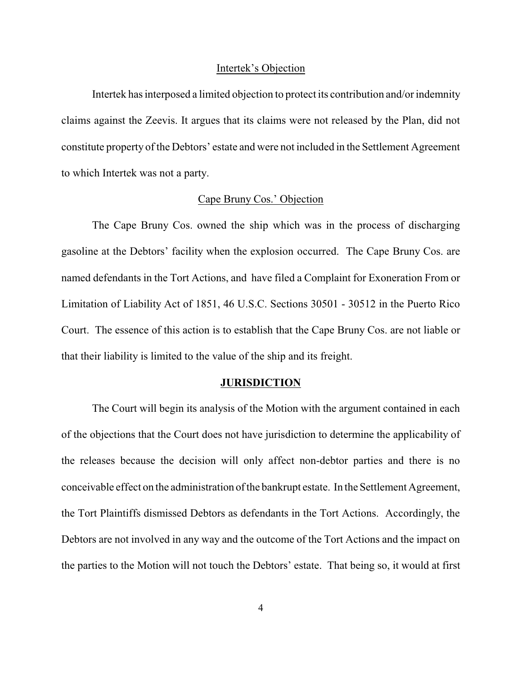#### Intertek's Objection

Intertek has interposed a limited objection to protect its contribution and/or indemnity claims against the Zeevis. It argues that its claims were not released by the Plan, did not constitute property of the Debtors' estate and were not included in the Settlement Agreement to which Intertek was not a party.

# Cape Bruny Cos.' Objection

The Cape Bruny Cos. owned the ship which was in the process of discharging gasoline at the Debtors' facility when the explosion occurred. The Cape Bruny Cos. are named defendants in the Tort Actions, and have filed a Complaint for Exoneration From or Limitation of Liability Act of 1851, 46 U.S.C. Sections 30501 - 30512 in the Puerto Rico Court. The essence of this action is to establish that the Cape Bruny Cos. are not liable or that their liability is limited to the value of the ship and its freight.

### **JURISDICTION**

The Court will begin its analysis of the Motion with the argument contained in each of the objections that the Court does not have jurisdiction to determine the applicability of the releases because the decision will only affect non-debtor parties and there is no conceivable effect on the administration of the bankrupt estate. In the Settlement Agreement, the Tort Plaintiffs dismissed Debtors as defendants in the Tort Actions. Accordingly, the Debtors are not involved in any way and the outcome of the Tort Actions and the impact on the parties to the Motion will not touch the Debtors' estate. That being so, it would at first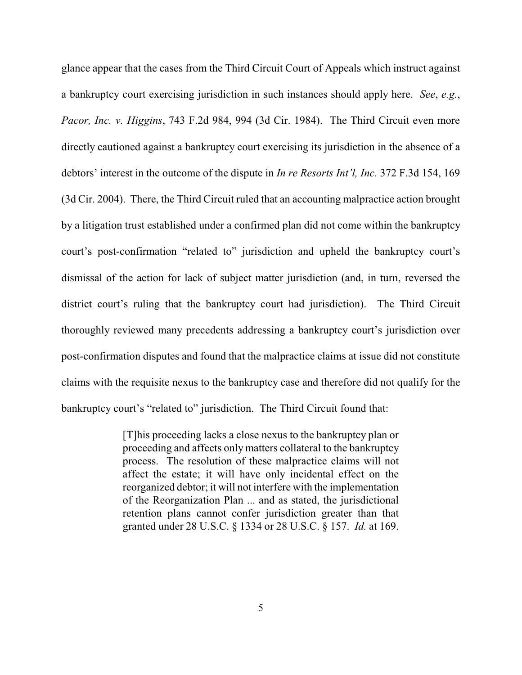glance appear that the cases from the Third Circuit Court of Appeals which instruct against a bankruptcy court exercising jurisdiction in such instances should apply here. *See*, *e.g.*, *Pacor, Inc. v. Higgins*, 743 F.2d 984, 994 (3d Cir. 1984). The Third Circuit even more directly cautioned against a bankruptcy court exercising its jurisdiction in the absence of a debtors' interest in the outcome of the dispute in *In re Resorts Int'l, Inc.* 372 F.3d 154, 169 (3d Cir. 2004). There, the Third Circuit ruled that an accounting malpractice action brought by a litigation trust established under a confirmed plan did not come within the bankruptcy court's post-confirmation "related to" jurisdiction and upheld the bankruptcy court's dismissal of the action for lack of subject matter jurisdiction (and, in turn, reversed the district court's ruling that the bankruptcy court had jurisdiction). The Third Circuit thoroughly reviewed many precedents addressing a bankruptcy court's jurisdiction over post-confirmation disputes and found that the malpractice claims at issue did not constitute claims with the requisite nexus to the bankruptcy case and therefore did not qualify for the bankruptcy court's "related to" jurisdiction. The Third Circuit found that:

> [T]his proceeding lacks a close nexus to the bankruptcy plan or proceeding and affects only matters collateral to the bankruptcy process. The resolution of these malpractice claims will not affect the estate; it will have only incidental effect on the reorganized debtor; it will not interfere with the implementation of the Reorganization Plan ... and as stated, the jurisdictional retention plans cannot confer jurisdiction greater than that granted under 28 U.S.C. § 1334 or 28 U.S.C. § 157. *Id.* at 169.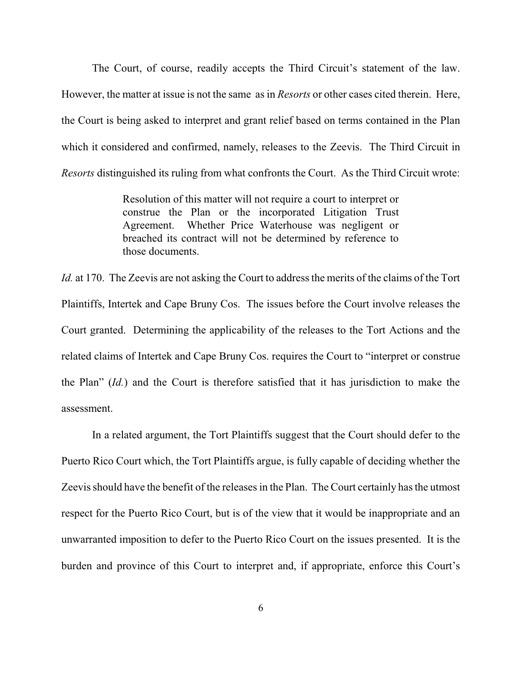The Court, of course, readily accepts the Third Circuit's statement of the law. However, the matter at issue is not the same as in *Resorts* or other cases cited therein. Here, the Court is being asked to interpret and grant relief based on terms contained in the Plan which it considered and confirmed, namely, releases to the Zeevis. The Third Circuit in *Resorts* distinguished its ruling from what confronts the Court. As the Third Circuit wrote:

> Resolution of this matter will not require a court to interpret or construe the Plan or the incorporated Litigation Trust Agreement. Whether Price Waterhouse was negligent or breached its contract will not be determined by reference to those documents.

*Id.* at 170. The Zeevis are not asking the Court to address the merits of the claims of the Tort Plaintiffs, Intertek and Cape Bruny Cos. The issues before the Court involve releases the Court granted. Determining the applicability of the releases to the Tort Actions and the related claims of Intertek and Cape Bruny Cos. requires the Court to "interpret or construe the Plan" (*Id.*) and the Court is therefore satisfied that it has jurisdiction to make the assessment.

In a related argument, the Tort Plaintiffs suggest that the Court should defer to the Puerto Rico Court which, the Tort Plaintiffs argue, is fully capable of deciding whether the Zeevis should have the benefit of the releases in the Plan. The Court certainly has the utmost respect for the Puerto Rico Court, but is of the view that it would be inappropriate and an unwarranted imposition to defer to the Puerto Rico Court on the issues presented. It is the burden and province of this Court to interpret and, if appropriate, enforce this Court's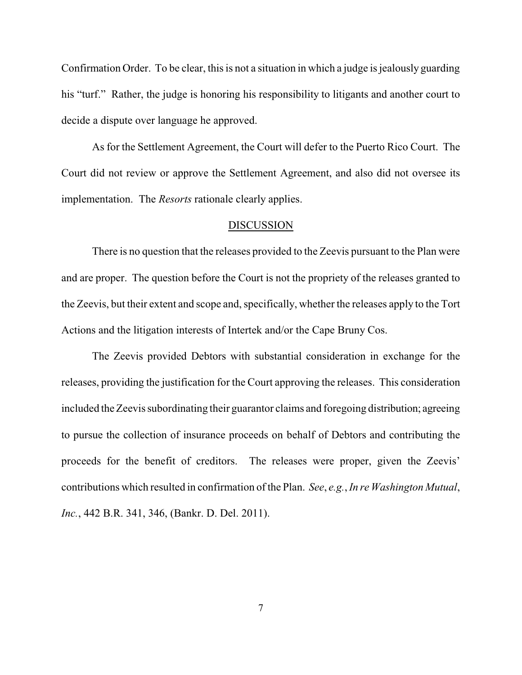Confirmation Order. To be clear, this is not a situation in which a judge is jealously guarding his "turf." Rather, the judge is honoring his responsibility to litigants and another court to decide a dispute over language he approved.

As for the Settlement Agreement, the Court will defer to the Puerto Rico Court. The Court did not review or approve the Settlement Agreement, and also did not oversee its implementation. The *Resorts* rationale clearly applies.

#### DISCUSSION

There is no question that the releases provided to the Zeevis pursuant to the Plan were and are proper. The question before the Court is not the propriety of the releases granted to the Zeevis, but their extent and scope and, specifically, whether the releases apply to the Tort Actions and the litigation interests of Intertek and/or the Cape Bruny Cos.

The Zeevis provided Debtors with substantial consideration in exchange for the releases, providing the justification for the Court approving the releases. This consideration included the Zeevis subordinating their guarantor claims and foregoing distribution; agreeing to pursue the collection of insurance proceeds on behalf of Debtors and contributing the proceeds for the benefit of creditors. The releases were proper, given the Zeevis' contributions which resulted in confirmation of the Plan. *See*, *e.g.*, *In re Washington Mutual*, *Inc.*, 442 B.R. 341, 346, (Bankr. D. Del. 2011).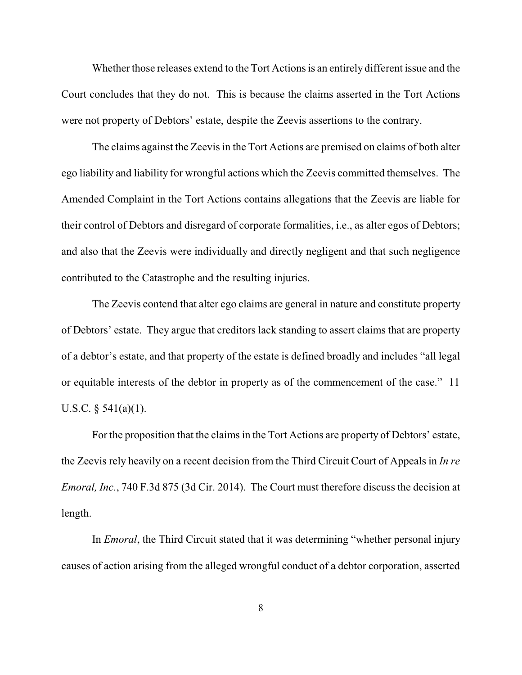Whether those releases extend to the Tort Actions is an entirely different issue and the Court concludes that they do not. This is because the claims asserted in the Tort Actions were not property of Debtors' estate, despite the Zeevis assertions to the contrary.

The claims against the Zeevis in the Tort Actions are premised on claims of both alter ego liability and liability for wrongful actions which the Zeevis committed themselves. The Amended Complaint in the Tort Actions contains allegations that the Zeevis are liable for their control of Debtors and disregard of corporate formalities, i.e., as alter egos of Debtors; and also that the Zeevis were individually and directly negligent and that such negligence contributed to the Catastrophe and the resulting injuries.

The Zeevis contend that alter ego claims are general in nature and constitute property of Debtors' estate. They argue that creditors lack standing to assert claims that are property of a debtor's estate, and that property of the estate is defined broadly and includes "all legal or equitable interests of the debtor in property as of the commencement of the case." 11 U.S.C.  $\S$  541(a)(1).

For the proposition that the claims in the Tort Actions are property of Debtors' estate, the Zeevis rely heavily on a recent decision from the Third Circuit Court of Appeals in *In re Emoral, Inc.*, 740 F.3d 875 (3d Cir. 2014). The Court must therefore discuss the decision at length.

In *Emoral*, the Third Circuit stated that it was determining "whether personal injury causes of action arising from the alleged wrongful conduct of a debtor corporation, asserted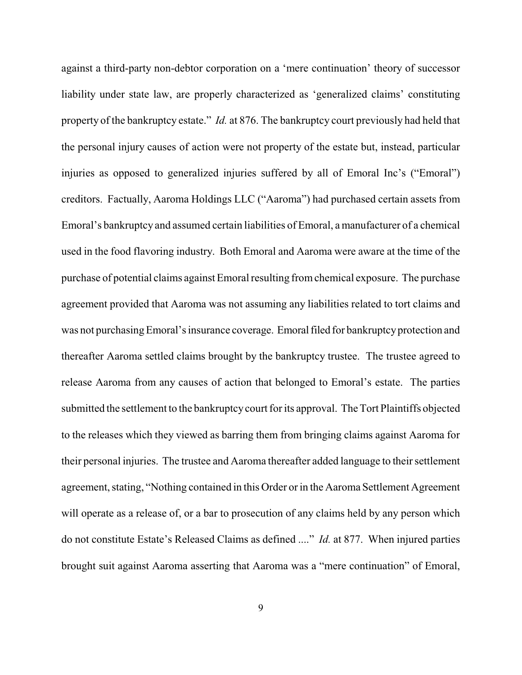against a third-party non-debtor corporation on a 'mere continuation' theory of successor liability under state law, are properly characterized as 'generalized claims' constituting property of the bankruptcy estate." *Id.* at 876. The bankruptcy court previously had held that the personal injury causes of action were not property of the estate but, instead, particular injuries as opposed to generalized injuries suffered by all of Emoral Inc's ("Emoral") creditors. Factually, Aaroma Holdings LLC ("Aaroma") had purchased certain assets from Emoral's bankruptcy and assumed certain liabilities of Emoral, amanufacturer of a chemical used in the food flavoring industry. Both Emoral and Aaroma were aware at the time of the purchase of potential claims against Emoral resulting fromchemical exposure. The purchase agreement provided that Aaroma was not assuming any liabilities related to tort claims and was not purchasing Emoral's insurance coverage. Emoral filed for bankruptcy protection and thereafter Aaroma settled claims brought by the bankruptcy trustee. The trustee agreed to release Aaroma from any causes of action that belonged to Emoral's estate. The parties submitted the settlement to the bankruptcycourt for its approval. The Tort Plaintiffs objected to the releases which they viewed as barring them from bringing claims against Aaroma for their personal injuries. The trustee and Aaroma thereafter added language to their settlement agreement, stating, "Nothing contained in this Order or in the Aaroma Settlement Agreement will operate as a release of, or a bar to prosecution of any claims held by any person which do not constitute Estate's Released Claims as defined ...." *Id.* at 877. When injured parties brought suit against Aaroma asserting that Aaroma was a "mere continuation" of Emoral,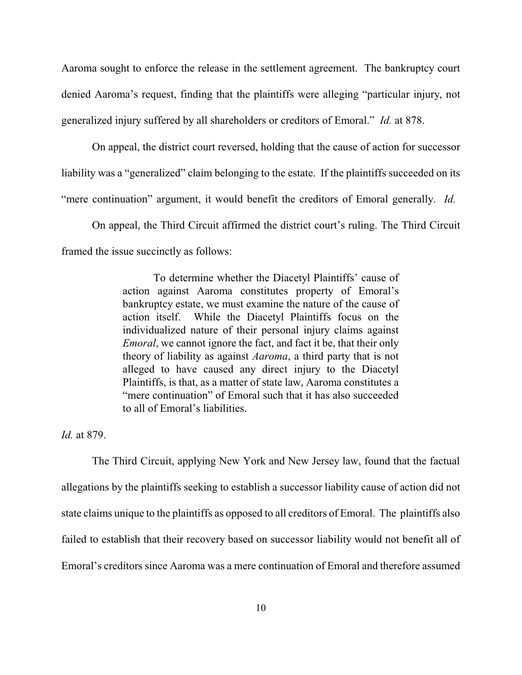Aaroma sought to enforce the release in the settlement agreement. The bankruptcy court denied Aaroma's request, finding that the plaintiffs were alleging "particular injury, not generalized injury suffered by all shareholders or creditors of Emoral." *Id.* at 878.

On appeal, the district court reversed, holding that the cause of action for successor liability was a "generalized" claim belonging to the estate. If the plaintiffs succeeded on its "mere continuation" argument, it would benefit the creditors of Emoral generally. *Id.*

On appeal, the Third Circuit affirmed the district court's ruling. The Third Circuit framed the issue succinctly as follows:

> To determine whether the Diacetyl Plaintiffs' cause of action against Aaroma constitutes property of Emoral's bankruptcy estate, we must examine the nature of the cause of action itself. While the Diacetyl Plaintiffs focus on the individualized nature of their personal injury claims against *Emoral*, we cannot ignore the fact, and fact it be, that their only theory of liability as against *Aaroma*, a third party that is not alleged to have caused any direct injury to the Diacetyl Plaintiffs, is that, as a matter of state law, Aaroma constitutes a "mere continuation" of Emoral such that it has also succeeded to all of Emoral's liabilities.

*Id.* at 879.

The Third Circuit, applying New York and New Jersey law, found that the factual allegations by the plaintiffs seeking to establish a successor liability cause of action did not state claims unique to the plaintiffs as opposed to all creditors of Emoral. The plaintiffs also failed to establish that their recovery based on successor liability would not benefit all of Emoral's creditors since Aaroma was a mere continuation of Emoral and therefore assumed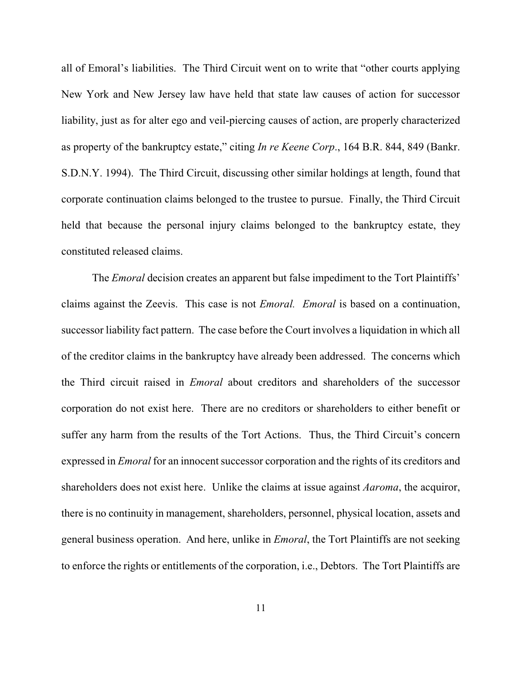all of Emoral's liabilities. The Third Circuit went on to write that "other courts applying New York and New Jersey law have held that state law causes of action for successor liability, just as for alter ego and veil-piercing causes of action, are properly characterized as property of the bankruptcy estate," citing *In re Keene Corp*., 164 B.R. 844, 849 (Bankr. S.D.N.Y. 1994). The Third Circuit, discussing other similar holdings at length, found that corporate continuation claims belonged to the trustee to pursue. Finally, the Third Circuit held that because the personal injury claims belonged to the bankruptcy estate, they constituted released claims.

The *Emoral* decision creates an apparent but false impediment to the Tort Plaintiffs' claims against the Zeevis. This case is not *Emoral. Emoral* is based on a continuation, successor liability fact pattern. The case before the Court involves a liquidation in which all of the creditor claims in the bankruptcy have already been addressed. The concerns which the Third circuit raised in *Emoral* about creditors and shareholders of the successor corporation do not exist here. There are no creditors or shareholders to either benefit or suffer any harm from the results of the Tort Actions. Thus, the Third Circuit's concern expressed in *Emoral* for an innocent successor corporation and the rights of its creditors and shareholders does not exist here. Unlike the claims at issue against *Aaroma*, the acquiror, there is no continuity in management, shareholders, personnel, physical location, assets and general business operation. And here, unlike in *Emoral*, the Tort Plaintiffs are not seeking to enforce the rights or entitlements of the corporation, i.e., Debtors. The Tort Plaintiffs are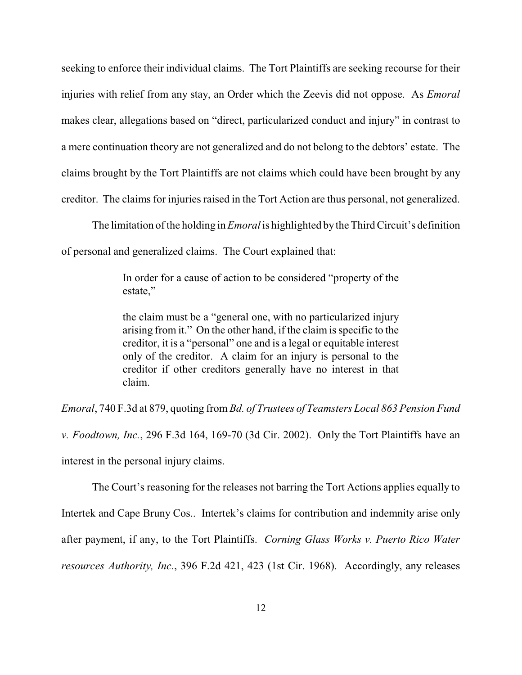seeking to enforce their individual claims. The Tort Plaintiffs are seeking recourse for their injuries with relief from any stay, an Order which the Zeevis did not oppose. As *Emoral* makes clear, allegations based on "direct, particularized conduct and injury" in contrast to a mere continuation theory are not generalized and do not belong to the debtors' estate. The claims brought by the Tort Plaintiffs are not claims which could have been brought by any creditor. The claims for injuries raised in the Tort Action are thus personal, not generalized.

The limitation of the holding in *Emoral* is highlighted bythe Third Circuit's definition of personal and generalized claims. The Court explained that:

> In order for a cause of action to be considered "property of the estate,"

> the claim must be a "general one, with no particularized injury arising from it." On the other hand, if the claim is specific to the creditor, it is a "personal" one and is a legal or equitable interest only of the creditor. A claim for an injury is personal to the creditor if other creditors generally have no interest in that claim.

*Emoral*, 740 F.3d at 879, quoting from *Bd. of Trustees of Teamsters Local 863 Pension Fund*

*v. Foodtown, Inc.*, 296 F.3d 164, 169-70 (3d Cir. 2002). Only the Tort Plaintiffs have an interest in the personal injury claims.

The Court's reasoning for the releases not barring the Tort Actions applies equally to Intertek and Cape Bruny Cos.. Intertek's claims for contribution and indemnity arise only after payment, if any, to the Tort Plaintiffs. *Corning Glass Works v. Puerto Rico Water resources Authority, Inc.*, 396 F.2d 421, 423 (1st Cir. 1968). Accordingly, any releases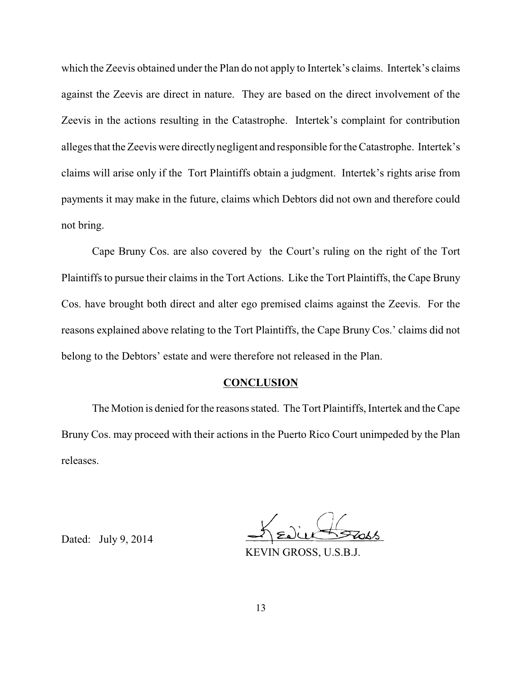which the Zeevis obtained under the Plan do not apply to Intertek's claims. Intertek's claims against the Zeevis are direct in nature. They are based on the direct involvement of the Zeevis in the actions resulting in the Catastrophe. Intertek's complaint for contribution alleges that the Zeevis were directlynegligent and responsible for the Catastrophe. Intertek's claims will arise only if the Tort Plaintiffs obtain a judgment. Intertek's rights arise from payments it may make in the future, claims which Debtors did not own and therefore could not bring.

Cape Bruny Cos. are also covered by the Court's ruling on the right of the Tort Plaintiffs to pursue their claims in the Tort Actions. Like the Tort Plaintiffs, the Cape Bruny Cos. have brought both direct and alter ego premised claims against the Zeevis. For the reasons explained above relating to the Tort Plaintiffs, the Cape Bruny Cos.' claims did not belong to the Debtors' estate and were therefore not released in the Plan.

### **CONCLUSION**

The Motion is denied for the reasons stated. The Tort Plaintiffs, Intertek and the Cape Bruny Cos. may proceed with their actions in the Puerto Rico Court unimpeded by the Plan releases.

KEVIN GROSS, U.S.B.J.

Dated: July 9, 2014